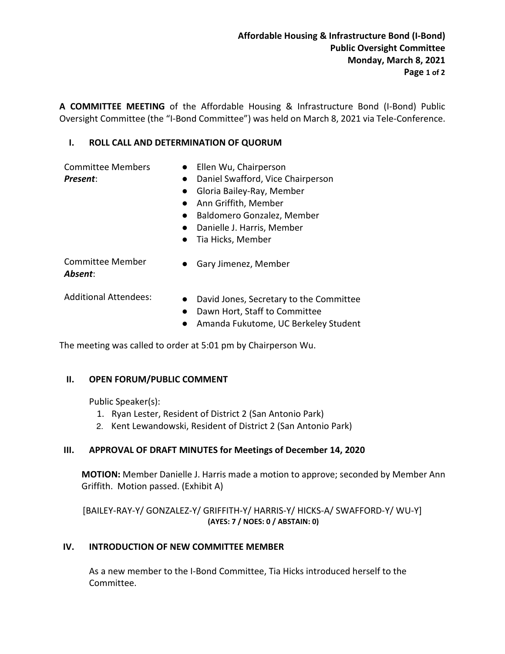A COMMITTEE MEETING of the Affordable Housing & Infrastructure Bond (I-Bond) Public Oversight Committee (the "I-Bond Committee") was held on March 8, 2021 via Tele-Conference.

### I. ROLL CALL AND DETERMINATION OF QUORUM

Committee Members Present:

- Ellen Wu, Chairperson
- Daniel Swafford, Vice Chairperson
- Gloria Bailey-Ray, Member
- Ann Griffith, Member
- Baldomero Gonzalez, Member
- Danielle J. Harris, Member
- Tia Hicks, Member

● Gary Jimenez, Member

Committee Member Absent:

- Additional Attendees: •• David Jones, Secretary to the Committee
	- Dawn Hort, Staff to Committee
	- Amanda Fukutome, UC Berkeley Student

The meeting was called to order at 5:01 pm by Chairperson Wu.

#### II. OPEN FORUM/PUBLIC COMMENT

Public Speaker(s):

- 1. Ryan Lester, Resident of District 2 (San Antonio Park)
- 2. Kent Lewandowski, Resident of District 2 (San Antonio Park)

### III. APPROVAL OF DRAFT MINUTES for Meetings of December 14, 2020

MOTION: Member Danielle J. Harris made a motion to approve; seconded by Member Ann Griffith. Motion passed. (Exhibit A)

```
[BAILEY-RAY-Y/ GONZALEZ-Y/ GRIFFITH-Y/ HARRIS-Y/ HICKS-A/ SWAFFORD-Y/ WU-Y] 
                 (AYES: 7 / NOES: 0 / ABSTAIN: 0)
```
#### IV. INTRODUCTION OF NEW COMMITTEE MEMBER

As a new member to the I-Bond Committee, Tia Hicks introduced herself to the Committee.